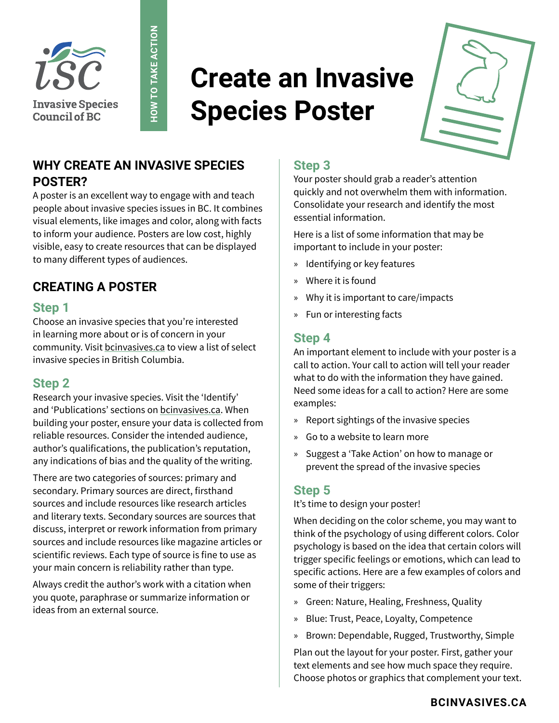

# **Create an Invasive Species Poster**



## **WHY CREATE AN INVASIVE SPECIES POSTER?**

**HOW TO TAKE ACTION**

HOW TO TAKE ACTION

A poster is an excellent way to engage with and teach people about invasive species issues in BC. It combines visual elements, like images and color, along with facts to inform your audience. Posters are low cost, highly visible, easy to create resources that can be displayed to many different types of audiences.

## **CREATING A POSTER**

#### **Step 1**

Choose an invasive species that you're interested in learning more about or is of concern in your community. Visit [bcinvasives.ca](http://bcinvasives.ca) to view a list of select invasive species in British Columbia.

#### **Step 2**

Research your invasive species. Visit the 'Identify' and 'Publications' sections on [bcinvasives.ca.](https://bcinvasives.ca) When building your poster, ensure your data is collected from reliable resources. Consider the intended audience, author's qualifications, the publication's reputation, any indications of bias and the quality of the writing.

There are two categories of sources: primary and secondary. Primary sources are direct, firsthand sources and include resources like research articles and literary texts. Secondary sources are sources that discuss, interpret or rework information from primary sources and include resources like magazine articles or scientific reviews. Each type of source is fine to use as your main concern is reliability rather than type.

Always credit the author's work with a citation when you quote, paraphrase or summarize information or ideas from an external source.

### **Step 3**

Your poster should grab a reader's attention quickly and not overwhelm them with information. Consolidate your research and identify the most essential information.

Here is a list of some information that may be important to include in your poster:

- » Identifying or key features
- » Where it is found
- » Why it is important to care/impacts
- » Fun or interesting facts

#### **Step 4**

An important element to include with your poster is a call to action. Your call to action will tell your reader what to do with the information they have gained. Need some ideas for a call to action? Here are some examples:

- » Report sightings of the invasive species
- » Go to a website to learn more
- » Suggest a 'Take Action' on how to manage or prevent the spread of the invasive species

#### **Step 5**

It's time to design your poster!

When deciding on the color scheme, you may want to think of the psychology of using different colors. Color psychology is based on the idea that certain colors will trigger specific feelings or emotions, which can lead to specific actions. Here are a few examples of colors and some of their triggers:

- » Green: Nature, Healing, Freshness, Quality
- » Blue: Trust, Peace, Loyalty, Competence
- » Brown: Dependable, Rugged, Trustworthy, Simple

Plan out the layout for your poster. First, gather your text elements and see how much space they require. Choose photos or graphics that complement your text.